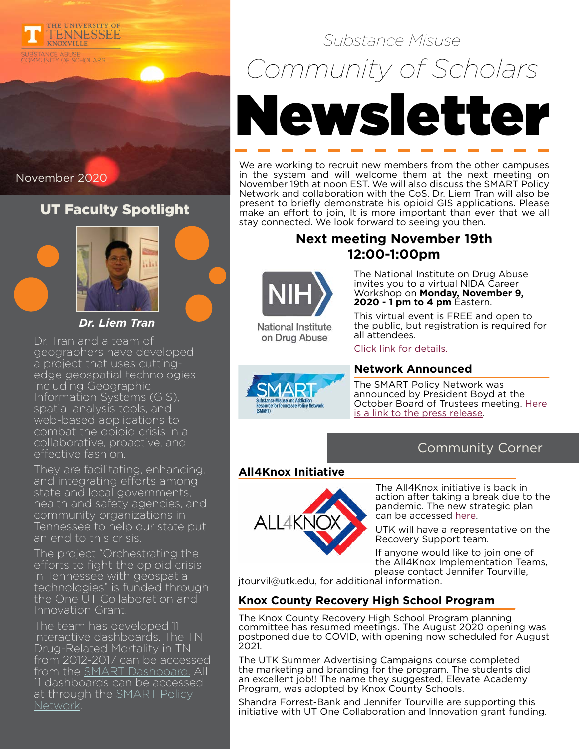

November 2020

### UT Faculty Spotlight



*Dr. Liem Tran*

Dr. Tran and a team of geographers have developed a project that uses cuttingedge geospatial technologies including Geographic Information Systems (GIS), spatial analysis tools, and web-based applications to combat the opioid crisis in a collaborative, proactive, and effective fashion.

They are facilitating, enhancing, and integrating efforts among state and local governments, health and safety agencies, and community organizations in Tennessee to help our state put an end to this crisis.

The project "Orchestrating the efforts to fight the opioid crisis in Tennessee with geospatial technologies" is funded through the One UT Collaboration and Innovation Grant.

The team has developed 11 interactive dashboards. The TN Drug-Related Mortality in TN from 2012-2017 can be accessed from the SMART Dashboard. All 11 dashboards can be accessed at through the **SMART Policy** Network.

# *Substance Misuse Community of Scholars* Newsletter

We are working to recruit new members from the other campuses in the system and will welcome them at the next meeting on November 19th at noon EST. We will also discuss the SMART Policy Network and collaboration with the CoS. Dr. Liem Tran will also be present to briefly demonstrate his opioid GIS applications. Please make an effort to join, It is more important than ever that we all stay connected. We look forward to seeing you then.

#### **Next meeting November 19th 12:00-1:00pm**



**National Institute** on Drug Abuse

The National Institute on Drug Abuse invites you to a virtual NIDA Career Workshop on **Monday, November 9, 2020 - 1 pm to 4 pm** Eastern.

This virtual event is FREE and open to the public, but registration is required for all attendees.

#### [Click link for details.](https://apps1.seiservices.com/nidacareerworkshop/)

#### **Network Announced**

The SMART Policy Network was announced by President Boyd at the October Board of Trustees meeting. [Here](https://news.tennessee.edu/2020/10/23/ut-launches-smart-policy-network/)  [is a link to the press release.](https://news.tennessee.edu/2020/10/23/ut-launches-smart-policy-network/)

#### Community Corner

#### **All4Knox Initiative**

Substance Misuse and Addict<mark>ion</mark><br>Resource for Tennessee Policy Network



The All4Knox initiative is back in action after taking a break due to the pandemic. The new strategic plan can be accessed [here](https://www.all4knox.org/All4KnoxStrategicPlan.pdf).

UTK will have a representative on the Recovery Support team.

If anyone would like to join one of the All4Knox Implementation Teams, please contact Jennifer Tourville,

jtourvil@utk.edu, for additional information.

#### **Knox County Recovery High School Program**

The Knox County Recovery High School Program planning committee has resumed meetings. The August 2020 opening was postponed due to COVID, with opening now scheduled for August 2021.

The UTK Summer Advertising Campaigns course completed the marketing and branding for the program. The students did an excellent job!! The name they suggested, Elevate Academy Program, was adopted by Knox County Schools.

Shandra Forrest-Bank and Jennifer Tourville are supporting this initiative with UT One Collaboration and Innovation grant funding.